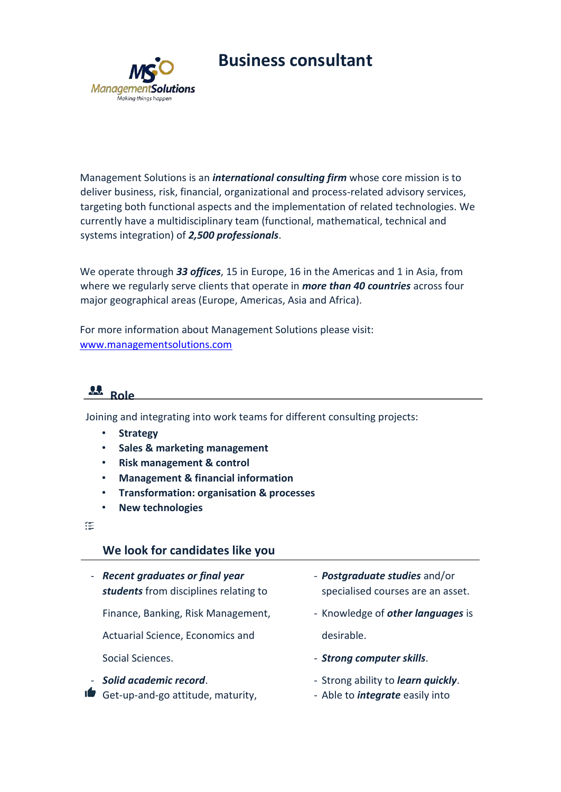



Management Solutions is an *international consulting firm* whose core mission is to deliver business, risk, financial, organizational and process-related advisory services, targeting both functional aspects and the implementation of related technologies. We currently have a multidisciplinary team (functional, mathematical, technical and systems integration) of *2,500 professionals*.

We operate through *33 offices*, 15 in Europe, 16 in the Americas and 1 in Asia, from where we regularly serve clients that operate in *more than 40 countries* across four major geographical areas (Europe, Americas, Asia and Africa).

For more information about Management Solutions please visit: [www.managementsolutions.com](http://www.managementsolutions.com/)



Joining and integrating into work teams for different consulting projects:

- **Strategy**
- **Sales & marketing management**
- **Risk management & control**
- **Management & financial information**
- **Transformation: organisation & processes**
- **New technologies**

詎

# **We look for candidates like you**

- *Recent graduates or final year* - *Postgraduate studies* and/or

Finance, Banking, Risk Management, **- Accude 2** Knowledge of **other languages** is

Actuarial Science, Economics and desirable.

- **Solid academic record**. The strong ability to *learn quickly*. **If** Get-up-and-go attitude, maturity, **-** Able to *integrate* easily into

- **students** from disciplines relating to specialised courses are an asset.
	-
- Social Sciences. *Strong computer skills*.
	-
	-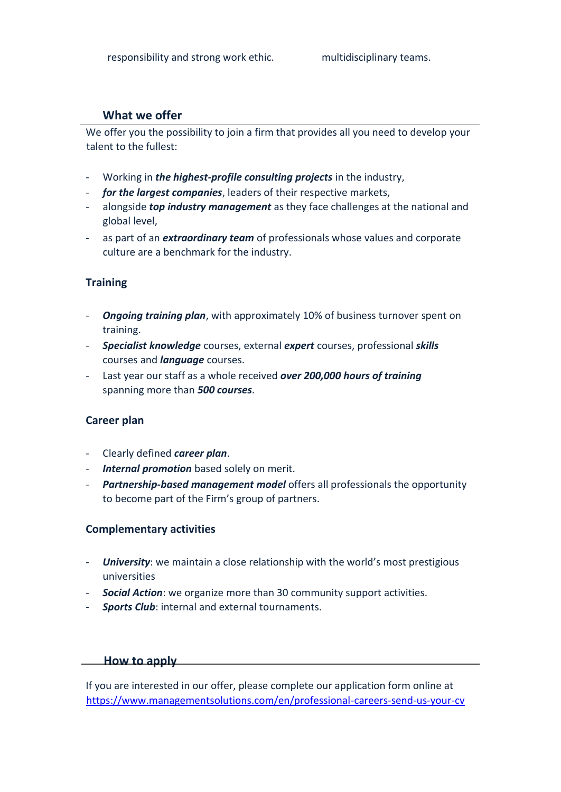## **What we offer**

We offer you the possibility to join a firm that provides all you need to develop your talent to the fullest:

- Working in *the highest-profile consulting projects* in the industry,
- *for the largest companies*, leaders of their respective markets,
- alongside *top industry management* as they face challenges at the national and global level,
- as part of an *extraordinary team* of professionals whose values and corporate culture are a benchmark for the industry.

### **Training**

- *Ongoing training plan*, with approximately 10% of business turnover spent on training.
- *Specialist knowledge* courses, external *expert* courses, professional *skills* courses and *language* courses.
- Last year our staff as a whole received *over 200,000 hours of training* spanning more than *500 courses*.

#### **Career plan**

- Clearly defined *career plan*.
- *Internal promotion* based solely on merit.
- *Partnership-based management model* offers all professionals the opportunity to become part of the Firm's group of partners.

#### **Complementary activities**

- *University*: we maintain a close relationship with the world's most prestigious universities
- *Social Action*: we organize more than 30 community support activities.
- *Sports Club*: internal and external tournaments.

#### **How to apply**

If you are interested in our offer, please complete our application form online at <https://www.managementsolutions.com/en/professional-careers-send-us-your-cv>